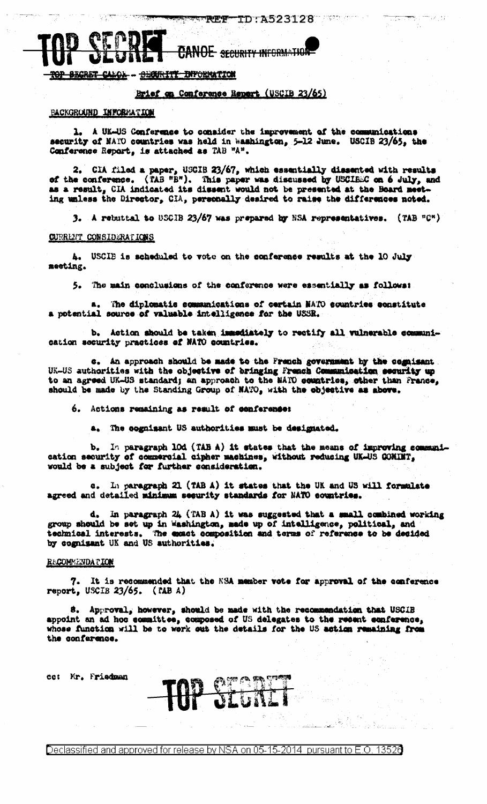# **CANOE** SECURITY INFORMATION

**BECRET** <u>OL - BECURITY INFORMATION</u>

# Brief on Conforence Report (USCIB 23/65)

#### BACKGROUND INFORMATION

1. A UK-US Conference to consider the improvement of the communications security of NATO countries was held in Washington, 5-12 June. USCIB 23/65, the Conference Report, is attached as TAB "A".

2. CIA filed a paper, USCIB 23/67, which essentially dissented with results of the conference. (TAB "B"). This paper was discussed by USCIBEC on 6 July, and as a result, CIA indicated its dissent would not be presented at ing unless the Director, CIA, personally desired to raise the differences noted.

3. A rebuttal to USCIB 23/67 was prepared by NSA representatives. (TAB  $PQ^*$ )

## **CURRENT CONSIDERATIONS**

4. USCIB is scheduled to vote on the conference results at the 10 July meeting.

5. The main conclusions of the conference were essentially as follows:

a. The diplomatic communications of certain MATO countries constitute a potential source of valuable intelligence for the USSR.

Ъ. Action should be taken immediately to rectify all vulnerable communication security practices of NATO countries.

c. An approach should be made to the French government by the cognisant. UK-US authorities with the objective of bringing French Communication security up to an agreed UK-US standard; an approach to the NATO comptries, other than France, should be made by the Standing Group of MATO, with the objective as above.

6. Actions remaining as result of conference:

a. The cognisant US authorities must be designated.

In paragraph 10d (TAB A) it states that the means of improving communib. cation security of commercial cipher machines, without reducing UK-US COMINT, would be a subject for further consideration.

c. In paragraph 21 (TAB A) it states that the UK and US will formulate agreed and detailed minimum security standards for NATO countries.

In paragraph  $24$  (TAB A) it was suggested that a small combined working group should be set up in Washington, made up of intelligence, political, and technical interests. The exact composition and terms of reference to be decided by cognizant UK and US authorities.

# **RECOMEENDATION**

7. It is recommended that the NSA member vote for approval of the conference report, USCIB 23/65. (TAB A)

8. Approval, however, should be made with the recommendation that USCIB appoint an ad hoc committee, composed of US delegates to the recent conference, whose function will be to work out the details for the US action remaining from the conference.

co: Mr. Friedman

Declassified and approved for release by NSA on 05-15-2014 pursuant to E.O. 13526

**TAP START**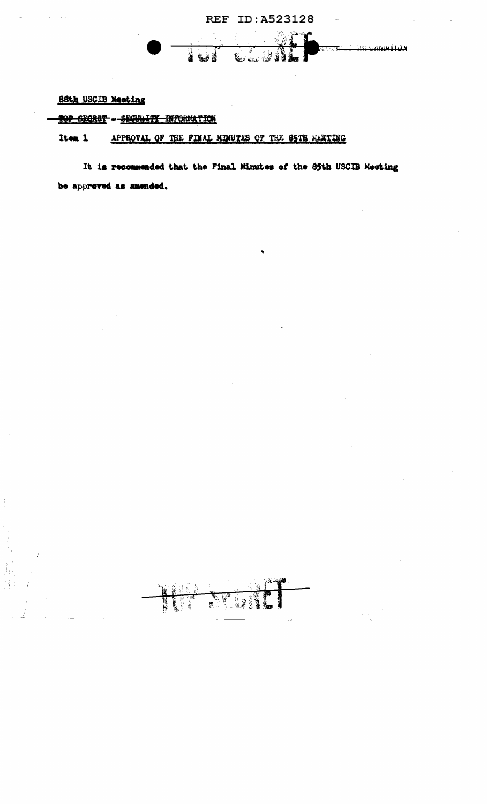

# 88th USCIB Meeting

(1) 全部的复数

TOP SEGRET - SEGURITY INFORMATION

**THE** 

FUEL

#### Item 1 APPROVAL OF THE FINAL MINUTES OF THE S5TH MARTING

It is recommended that the Final Minutes of the 85th USCIB Meeting be approved as amended.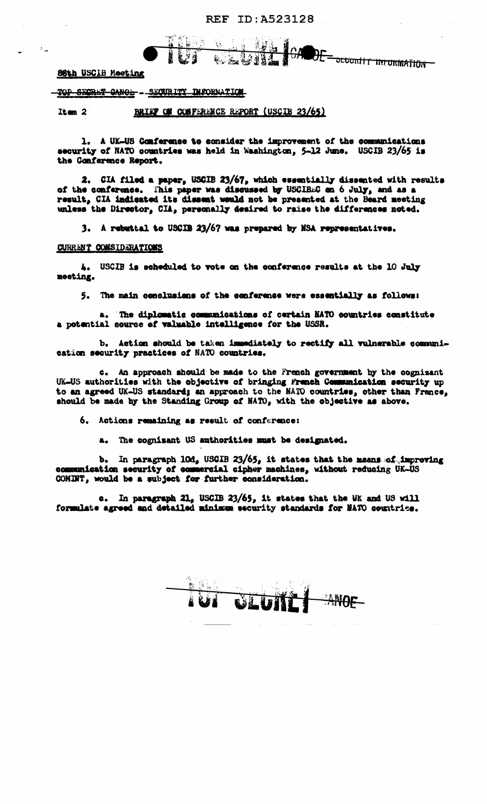**REF ID: A523128** 

<del>oluntiy iniukmation -</del>

**SSth USCIB Meeting** 

- 12

TOP SECRET CANOL - SECURITY INFORMATION

BRIEF ON CONFERENCE REPORT (USCIB 23/65) Item  $2$ 

1. A UK-US Conference to consider the improvement of the communications security of NATO countries was held in Washington, 5-12 June. USCIB 23/65 is the Conference Report.

6. 2.4/11

2. CIA filed a paper, USCIB 23/67, which essentially dissented with results of the conference. This paper was discussed by USCIBEC on 6 July, and as a result, CIA indicated its dissent would not be presented at the Beard meeting unless the Director, CIA, personally desired to raise the differences noted.

3. A rebuttal to USCIB 23/67 was prepared by NSA representatives.

#### **CURRENT CONSIDERATIONS**

4. USCIB is scheduled to vote on the conference results at the 10 July meeting.

5. The main conclusions of the conference were essentially as follows:

a. The diplomatic communications of certain NATO countries constitute a potential source of valuable intelligence for the USSR.

Action should be taken immediately to rectify all vulnerable communi- $\mathbf{b}$ cation security practices of NATO countries.

c. An approach should be made to the French government by the cognizant UK-US authorities with the objective of bringing French Communication security up to an agreed UK-US standard; an approach to the NATO countries, other than France, should be made by the Standing Group of NATO, with the objective as above.

6. Actions remaining as result of conference:

a. The cognizant US authorities must be designated.

b. In paragraph 10d, USCIB 23/65, it states that the means of improving communication security of commercial cipher machines, without reducing UK-US COMINT, would be a subject for further consideration.

c. In paragraph 21, USCIB 23/65, it states that the UK and US will formulate agreed and detailed minimum security standards for NATO countries.